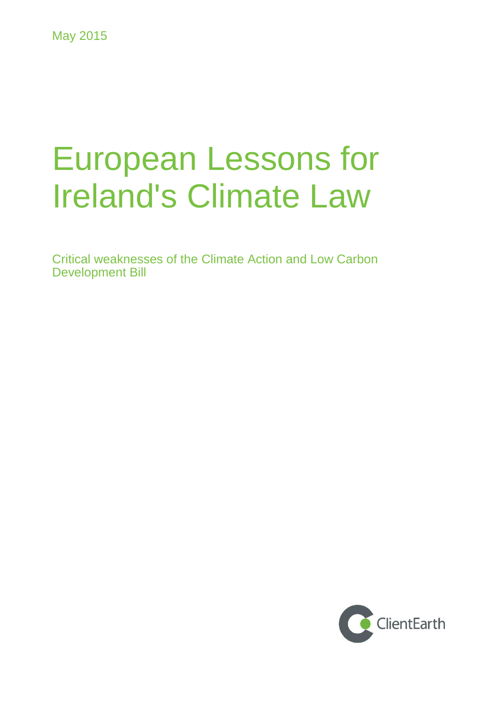# European Lessons for Ireland's Climate Law

Critical weaknesses of the Climate Action and Low Carbon Development Bill

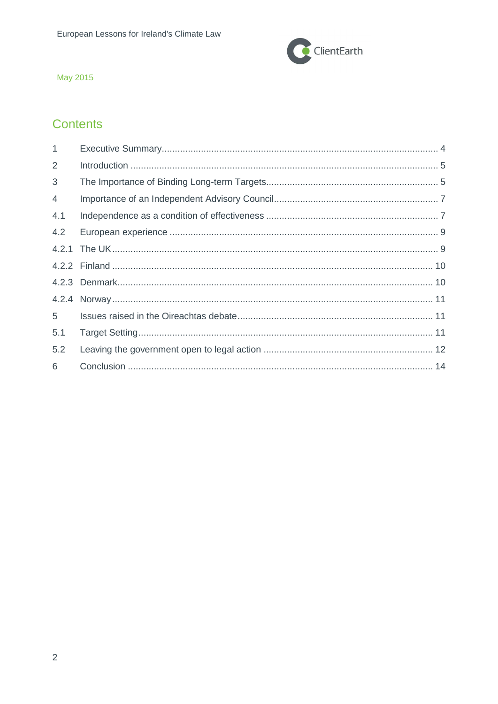

## **Contents**

| $\mathbf{1}$   |  |
|----------------|--|
| 2              |  |
| 3              |  |
| $\overline{4}$ |  |
| 4.1            |  |
| 4.2            |  |
|                |  |
|                |  |
|                |  |
|                |  |
| 5              |  |
| 5.1            |  |
| 5.2            |  |
| 6              |  |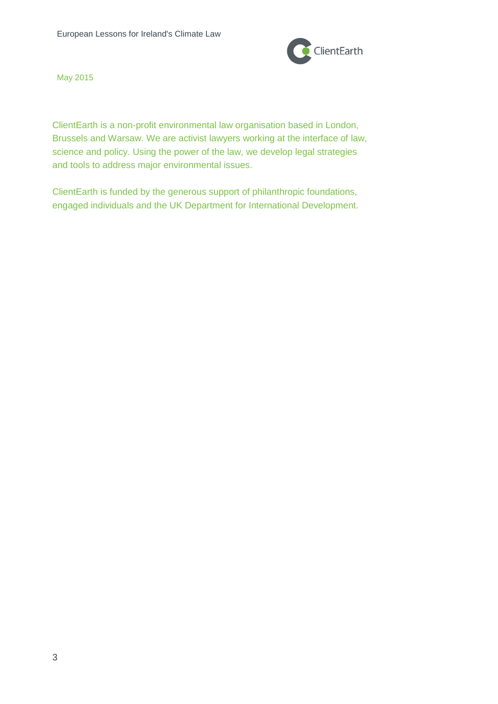

ClientEarth is a non-profit environmental law organisation based in London, Brussels and Warsaw. We are activist lawyers working at the interface of law, science and policy. Using the power of the law, we develop legal strategies and tools to address major environmental issues.

ClientEarth is funded by the generous support of philanthropic foundations, engaged individuals and the UK Department for International Development.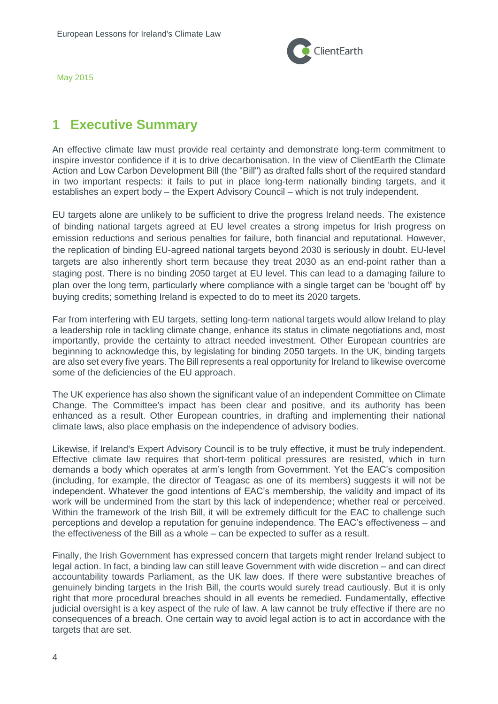

# <span id="page-3-0"></span>**1 Executive Summary**

An effective climate law must provide real certainty and demonstrate long-term commitment to inspire investor confidence if it is to drive decarbonisation. In the view of ClientEarth the Climate Action and Low Carbon Development Bill (the "Bill") as drafted falls short of the required standard in two important respects: it fails to put in place long-term nationally binding targets, and it establishes an expert body – the Expert Advisory Council – which is not truly independent.

EU targets alone are unlikely to be sufficient to drive the progress Ireland needs. The existence of binding national targets agreed at EU level creates a strong impetus for Irish progress on emission reductions and serious penalties for failure, both financial and reputational. However, the replication of binding EU-agreed national targets beyond 2030 is seriously in doubt. EU-level targets are also inherently short term because they treat 2030 as an end-point rather than a staging post. There is no binding 2050 target at EU level. This can lead to a damaging failure to plan over the long term, particularly where compliance with a single target can be 'bought off' by buying credits; something Ireland is expected to do to meet its 2020 targets.

Far from interfering with EU targets, setting long-term national targets would allow Ireland to play a leadership role in tackling climate change, enhance its status in climate negotiations and, most importantly, provide the certainty to attract needed investment. Other European countries are beginning to acknowledge this, by legislating for binding 2050 targets. In the UK, binding targets are also set every five years. The Bill represents a real opportunity for Ireland to likewise overcome some of the deficiencies of the EU approach.

The UK experience has also shown the significant value of an independent Committee on Climate Change. The Committee's impact has been clear and positive, and its authority has been enhanced as a result. Other European countries, in drafting and implementing their national climate laws, also place emphasis on the independence of advisory bodies.

Likewise, if Ireland's Expert Advisory Council is to be truly effective, it must be truly independent. Effective climate law requires that short-term political pressures are resisted, which in turn demands a body which operates at arm's length from Government. Yet the EAC's composition (including, for example, the director of Teagasc as one of its members) suggests it will not be independent. Whatever the good intentions of EAC's membership, the validity and impact of its work will be undermined from the start by this lack of independence; whether real or perceived. Within the framework of the Irish Bill, it will be extremely difficult for the EAC to challenge such perceptions and develop a reputation for genuine independence. The EAC's effectiveness – and the effectiveness of the Bill as a whole – can be expected to suffer as a result.

Finally, the Irish Government has expressed concern that targets might render Ireland subject to legal action. In fact, a binding law can still leave Government with wide discretion – and can direct accountability towards Parliament, as the UK law does. If there were substantive breaches of genuinely binding targets in the Irish Bill, the courts would surely tread cautiously. But it is only right that more procedural breaches should in all events be remedied. Fundamentally, effective judicial oversight is a key aspect of the rule of law. A law cannot be truly effective if there are no consequences of a breach. One certain way to avoid legal action is to act in accordance with the targets that are set.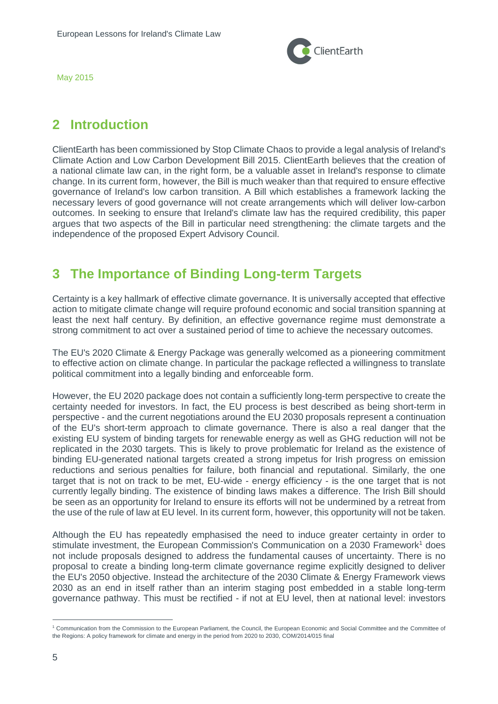

# <span id="page-4-0"></span>**2 Introduction**

ClientEarth has been commissioned by Stop Climate Chaos to provide a legal analysis of Ireland's Climate Action and Low Carbon Development Bill 2015. ClientEarth believes that the creation of a national climate law can, in the right form, be a valuable asset in Ireland's response to climate change. In its current form, however, the Bill is much weaker than that required to ensure effective governance of Ireland's low carbon transition. A Bill which establishes a framework lacking the necessary levers of good governance will not create arrangements which will deliver low-carbon outcomes. In seeking to ensure that Ireland's climate law has the required credibility, this paper argues that two aspects of the Bill in particular need strengthening: the climate targets and the independence of the proposed Expert Advisory Council.

# <span id="page-4-1"></span>**3 The Importance of Binding Long-term Targets**

Certainty is a key hallmark of effective climate governance. It is universally accepted that effective action to mitigate climate change will require profound economic and social transition spanning at least the next half century. By definition, an effective governance regime must demonstrate a strong commitment to act over a sustained period of time to achieve the necessary outcomes.

The EU's 2020 Climate & Energy Package was generally welcomed as a pioneering commitment to effective action on climate change. In particular the package reflected a willingness to translate political commitment into a legally binding and enforceable form.

However, the EU 2020 package does not contain a sufficiently long-term perspective to create the certainty needed for investors. In fact, the EU process is best described as being short-term in perspective - and the current negotiations around the EU 2030 proposals represent a continuation of the EU's short-term approach to climate governance. There is also a real danger that the existing EU system of binding targets for renewable energy as well as GHG reduction will not be replicated in the 2030 targets. This is likely to prove problematic for Ireland as the existence of binding EU-generated national targets created a strong impetus for Irish progress on emission reductions and serious penalties for failure, both financial and reputational. Similarly, the one target that is not on track to be met, EU-wide - energy efficiency - is the one target that is not currently legally binding. The existence of binding laws makes a difference. The Irish Bill should be seen as an opportunity for Ireland to ensure its efforts will not be undermined by a retreat from the use of the rule of law at EU level. In its current form, however, this opportunity will not be taken.

Although the EU has repeatedly emphasised the need to induce greater certainty in order to stimulate investment, the European Commission's Communication on a 2030 Framework<sup>1</sup> does not include proposals designed to address the fundamental causes of uncertainty. There is no proposal to create a binding long-term climate governance regime explicitly designed to deliver the EU's 2050 objective. Instead the architecture of the 2030 Climate & Energy Framework views 2030 as an end in itself rather than an interim staging post embedded in a stable long-term governance pathway. This must be rectified - if not at EU level, then at national level: investors

<sup>1</sup> Communication from the Commission to the European Parliament, the Council, the European Economic and Social Committee and the Committee of the Regions: A policy framework for climate and energy in the period from 2020 to 2030, COM/2014/015 final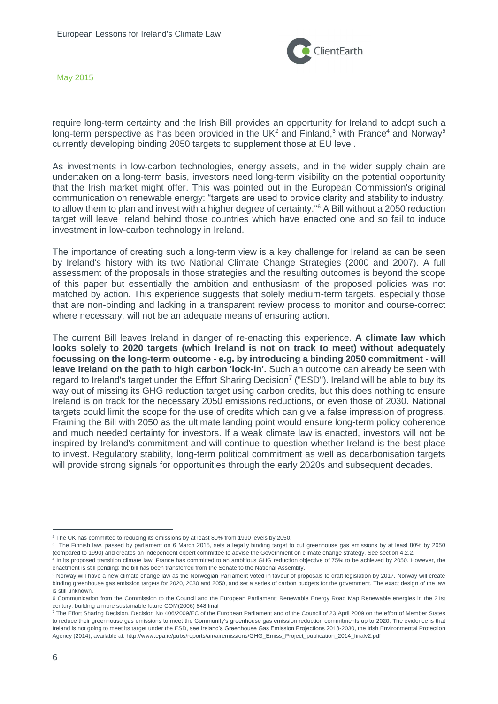

require long-term certainty and the Irish Bill provides an opportunity for Ireland to adopt such a long-term perspective as has been provided in the UK<sup>2</sup> and Finland,<sup>3</sup> with France<sup>4</sup> and Norway<sup>5</sup> currently developing binding 2050 targets to supplement those at EU level.

As investments in low-carbon technologies, energy assets, and in the wider supply chain are undertaken on a long-term basis, investors need long-term visibility on the potential opportunity that the Irish market might offer. This was pointed out in the European Commission's original communication on renewable energy: "targets are used to provide clarity and stability to industry, to allow them to plan and invest with a higher degree of certainty." <sup>6</sup> A Bill without a 2050 reduction target will leave Ireland behind those countries which have enacted one and so fail to induce investment in low-carbon technology in Ireland.

The importance of creating such a long-term view is a key challenge for Ireland as can be seen by Ireland's history with its two National Climate Change Strategies (2000 and 2007). A full assessment of the proposals in those strategies and the resulting outcomes is beyond the scope of this paper but essentially the ambition and enthusiasm of the proposed policies was not matched by action. This experience suggests that solely medium-term targets, especially those that are non-binding and lacking in a transparent review process to monitor and course-correct where necessary, will not be an adequate means of ensuring action.

The current Bill leaves Ireland in danger of re-enacting this experience. **A climate law which looks solely to 2020 targets (which Ireland is not on track to meet) without adequately focussing on the long-term outcome - e.g. by introducing a binding 2050 commitment - will leave Ireland on the path to high carbon 'lock-in'.** Such an outcome can already be seen with regard to Ireland's target under the Effort Sharing Decision<sup>7</sup> ("ESD"). Ireland will be able to buy its way out of missing its GHG reduction target using carbon credits, but this does nothing to ensure Ireland is on track for the necessary 2050 emissions reductions, or even those of 2030. National targets could limit the scope for the use of credits which can give a false impression of progress. Framing the Bill with 2050 as the ultimate landing point would ensure long-term policy coherence and much needed certainty for investors. If a weak climate law is enacted, investors will not be inspired by Ireland's commitment and will continue to question whether Ireland is the best place to invest. Regulatory stability, long-term political commitment as well as decarbonisation targets will provide strong signals for opportunities through the early 2020s and subsequent decades.

<sup>&</sup>lt;sup>2</sup> The UK has committed to reducing its emissions by at least 80% from 1990 levels by 2050.

<sup>&</sup>lt;sup>3</sup> The Finnish law, passed by parliament on 6 March 2015, sets a legally binding target to cut greenhouse gas emissions by at least 80% by 2050 (compared to 1990) and creates an independent expert committee to advise the Government on climate change strategy. See section 4.2.2.

<sup>4</sup> In its proposed transition climate law, France has committed to an ambitious GHG reduction objective of 75% to be achieved by 2050. However, the enactment is still pending: the bill has been transferred from the Senate to the National Assembly.

<sup>5</sup> Norway will have a new climate change law as the Norwegian Parliament voted in favour of proposals to draft legislation by 2017. Norway will create binding greenhouse gas emission targets for 2020, 2030 and 2050, and set a series of carbon budgets for the government. The exact design of the law is still unknown.

<sup>6</sup> Communication from the Commission to the Council and the European Parliament: Renewable Energy Road Map Renewable energies in the 21st century: building a more sustainable future COM(2006) 848 final

<sup>7</sup> The Effort Sharing Decision, Decision No 406/2009/EC of the European Parliament and of the Council of 23 April 2009 on the effort of Member States to reduce their greenhouse gas emissions to meet the Community's greenhouse gas emission reduction commitments up to 2020. The evidence is that Ireland is not going to meet its target under the ESD, see Ireland's Greenhouse Gas Emission Projections 2013-2030, the Irish Environmental Protection Agency (2014), available at: http://www.epa.ie/pubs/reports/air/airemissions/GHG\_Emiss\_Project\_publication\_2014\_finalv2.pdf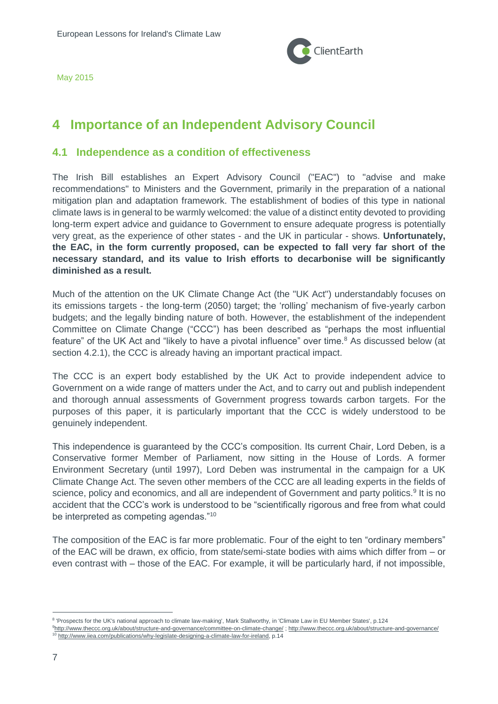

# <span id="page-6-0"></span>**4 Importance of an Independent Advisory Council**

### <span id="page-6-1"></span>**4.1 Independence as a condition of effectiveness**

The Irish Bill establishes an Expert Advisory Council ("EAC") to "advise and make recommendations" to Ministers and the Government, primarily in the preparation of a national mitigation plan and adaptation framework. The establishment of bodies of this type in national climate laws is in general to be warmly welcomed: the value of a distinct entity devoted to providing long-term expert advice and guidance to Government to ensure adequate progress is potentially very great, as the experience of other states - and the UK in particular - shows. **Unfortunately, the EAC, in the form currently proposed, can be expected to fall very far short of the necessary standard, and its value to Irish efforts to decarbonise will be significantly diminished as a result.**

Much of the attention on the UK Climate Change Act (the "UK Act") understandably focuses on its emissions targets - the long-term (2050) target; the 'rolling' mechanism of five-yearly carbon budgets; and the legally binding nature of both. However, the establishment of the independent Committee on Climate Change ("CCC") has been described as "perhaps the most influential feature" of the UK Act and "likely to have a pivotal influence" over time.<sup>8</sup> As discussed below (at section 4.2.1), the CCC is already having an important practical impact.

The CCC is an expert body established by the UK Act to provide independent advice to Government on a wide range of matters under the Act, and to carry out and publish independent and thorough annual assessments of Government progress towards carbon targets. For the purposes of this paper, it is particularly important that the CCC is widely understood to be genuinely independent.

This independence is guaranteed by the CCC's composition. Its current Chair, Lord Deben, is a Conservative former Member of Parliament, now sitting in the House of Lords. A former Environment Secretary (until 1997), Lord Deben was instrumental in the campaign for a UK Climate Change Act. The seven other members of the CCC are all leading experts in the fields of science, policy and economics, and all are independent of Government and party politics.<sup>9</sup> It is no accident that the CCC's work is understood to be "scientifically rigorous and free from what could be interpreted as competing agendas."<sup>10</sup>

The composition of the EAC is far more problematic. Four of the eight to ten "ordinary members" of the EAC will be drawn, ex officio, from state/semi-state bodies with aims which differ from – or even contrast with – those of the EAC. For example, it will be particularly hard, if not impossible,

<sup>&</sup>lt;sup>8</sup> 'Prospects for the UK's national approach to climate law-making', Mark Stallworthy, in 'Climate Law in EU Member States', p.124

<sup>9</sup><http://www.theccc.org.uk/about/structure-and-governance/committee-on-climate-change/> ;<http://www.theccc.org.uk/about/structure-and-governance/> <sup>10</sup> [http://www.iiea.com/publications/why-legislate-designing-a-climate-law-for-ireland,](http://www.iiea.com/publications/why-legislate-designing-a-climate-law-for-ireland) p.14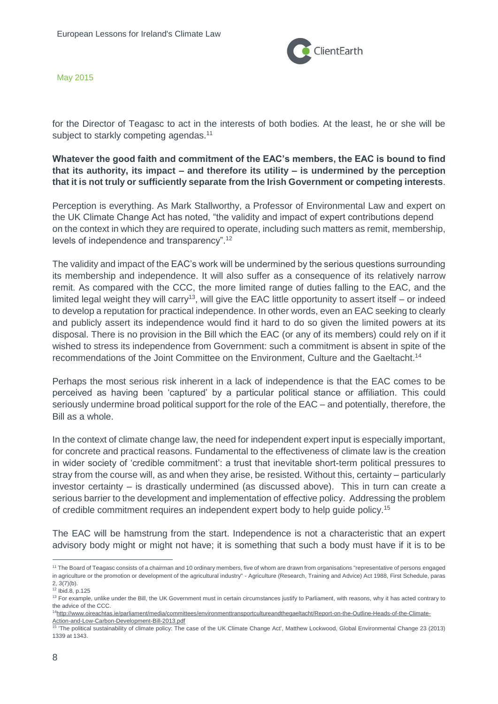

for the Director of Teagasc to act in the interests of both bodies. At the least, he or she will be subject to starkly competing agendas.<sup>11</sup>

**Whatever the good faith and commitment of the EAC's members, the EAC is bound to find that its authority, its impact – and therefore its utility – is undermined by the perception that it is not truly or sufficiently separate from the Irish Government or competing interests**.

Perception is everything. As Mark Stallworthy, a Professor of Environmental Law and expert on the UK Climate Change Act has noted, "the validity and impact of expert contributions depend on the context in which they are required to operate, including such matters as remit, membership, levels of independence and transparency".<sup>12</sup>

The validity and impact of the EAC's work will be undermined by the serious questions surrounding its membership and independence. It will also suffer as a consequence of its relatively narrow remit. As compared with the CCC, the more limited range of duties falling to the EAC, and the limited legal weight they will carry<sup>13</sup>, will give the EAC little opportunity to assert itself – or indeed to develop a reputation for practical independence. In other words, even an EAC seeking to clearly and publicly assert its independence would find it hard to do so given the limited powers at its disposal. There is no provision in the Bill which the EAC (or any of its members) could rely on if it wished to stress its independence from Government: such a commitment is absent in spite of the recommendations of the Joint Committee on the Environment, Culture and the Gaeltacht.<sup>14</sup>

Perhaps the most serious risk inherent in a lack of independence is that the EAC comes to be perceived as having been 'captured' by a particular political stance or affiliation. This could seriously undermine broad political support for the role of the EAC – and potentially, therefore, the Bill as a whole.

In the context of climate change law, the need for independent expert input is especially important, for concrete and practical reasons. Fundamental to the effectiveness of climate law is the creation in wider society of 'credible commitment': a trust that inevitable short-term political pressures to stray from the course will, as and when they arise, be resisted. Without this, certainty – particularly investor certainty – is drastically undermined (as discussed above). This in turn can create a serious barrier to the development and implementation of effective policy. Addressing the problem of credible commitment requires an independent expert body to help guide policy.<sup>15</sup>

The EAC will be hamstrung from the start. Independence is not a characteristic that an expert advisory body might or might not have; it is something that such a body must have if it is to be

<sup>11</sup> The Board of Teagasc consists of a chairman and 10 ordinary members, five of whom are drawn from organisations "representative of persons engaged in agriculture or the promotion or development of the agricultural industry" - Agriculture (Research, Training and Advice) Act 1988, First Schedule, paras 2, 3(7)(b).

<sup>12</sup> Ibid.8, p.125

<sup>&</sup>lt;sup>13</sup> For example, unlike under the Bill, the UK Government must in certain circumstances justify to Parliament, with reasons, why it has acted contrary to the advice of the CCC.

<sup>14</sup>[http://www.oireachtas.ie/parliament/media/committees/environmenttransportcultureandthegaeltacht/Report-on-the-Outline-Heads-of-the-Climate-](http://www.oireachtas.ie/parliament/media/committees/environmenttransportcultureandthegaeltacht/Report-on-the-Outline-Heads-of-the-Climate-Action-and-Low-Carbon-Development-Bill-2013.pdf)[Action-and-Low-Carbon-Development-Bill-2013.pdf](http://www.oireachtas.ie/parliament/media/committees/environmenttransportcultureandthegaeltacht/Report-on-the-Outline-Heads-of-the-Climate-Action-and-Low-Carbon-Development-Bill-2013.pdf)

<sup>15</sup> 'The political sustainability of climate policy: The case of the UK Climate Change Act', Matthew Lockwood, Global Environmental Change 23 (2013) 1339 at 1343.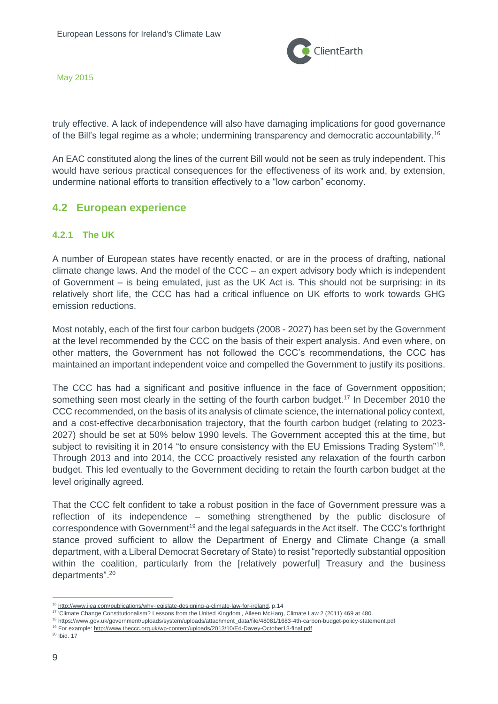

truly effective. A lack of independence will also have damaging implications for good governance of the Bill's legal regime as a whole; undermining transparency and democratic accountability.<sup>16</sup>

An EAC constituted along the lines of the current Bill would not be seen as truly independent. This would have serious practical consequences for the effectiveness of its work and, by extension, undermine national efforts to transition effectively to a "low carbon" economy.

## <span id="page-8-0"></span>**4.2 European experience**

#### <span id="page-8-1"></span>**4.2.1 The UK**

A number of European states have recently enacted, or are in the process of drafting, national climate change laws. And the model of the CCC – an expert advisory body which is independent of Government – is being emulated, just as the UK Act is. This should not be surprising: in its relatively short life, the CCC has had a critical influence on UK efforts to work towards GHG emission reductions.

Most notably, each of the first four carbon budgets (2008 - 2027) has been set by the Government at the level recommended by the CCC on the basis of their expert analysis. And even where, on other matters, the Government has not followed the CCC's recommendations, the CCC has maintained an important independent voice and compelled the Government to justify its positions.

The CCC has had a significant and positive influence in the face of Government opposition; something seen most clearly in the setting of the fourth carbon budget.<sup>17</sup> In December 2010 the CCC recommended, on the basis of its analysis of climate science, the international policy context, and a cost-effective decarbonisation trajectory, that the fourth carbon budget (relating to 2023- 2027) should be set at 50% below 1990 levels. The Government accepted this at the time, but subject to revisiting it in 2014 "to ensure consistency with the EU Emissions Trading System"<sup>18</sup>. Through 2013 and into 2014, the CCC proactively resisted any relaxation of the fourth carbon budget. This led eventually to the Government deciding to retain the fourth carbon budget at the level originally agreed.

That the CCC felt confident to take a robust position in the face of Government pressure was a reflection of its independence – something strengthened by the public disclosure of correspondence with Government<sup>19</sup> and the legal safeguards in the Act itself. The CCC's forthright stance proved sufficient to allow the Department of Energy and Climate Change (a small department, with a Liberal Democrat Secretary of State) to resist "reportedly substantial opposition within the coalition, particularly from the [relatively powerful] Treasury and the business departments".<sup>20</sup>

<sup>16</sup> [http://www.iiea.com/publications/why-legislate-designing-a-climate-law-for-ireland,](http://www.iiea.com/publications/why-legislate-designing-a-climate-law-for-ireland) p.14

<sup>&</sup>lt;sup>17</sup> Climate Change Constitutionalism? Lessons from the United Kingdom', Aileen McHarg, Climate Law 2 (2011) 469 at 480.

<sup>18</sup> [https://www.gov.uk/government/uploads/system/uploads/attachment\\_data/file/48081/1683-4th-carbon-budget-policy-statement.pdf](https://www.gov.uk/government/uploads/system/uploads/attachment_data/file/48081/1683-4th-carbon-budget-policy-statement.pdf)

<sup>19</sup> For example[: http://www.theccc.org.uk/wp-content/uploads/2013/10/Ed-Davey-October13-final.pdf](http://www.theccc.org.uk/wp-content/uploads/2013/10/Ed-Davey-October13-final.pdf)

<sup>20</sup> Ibid. 17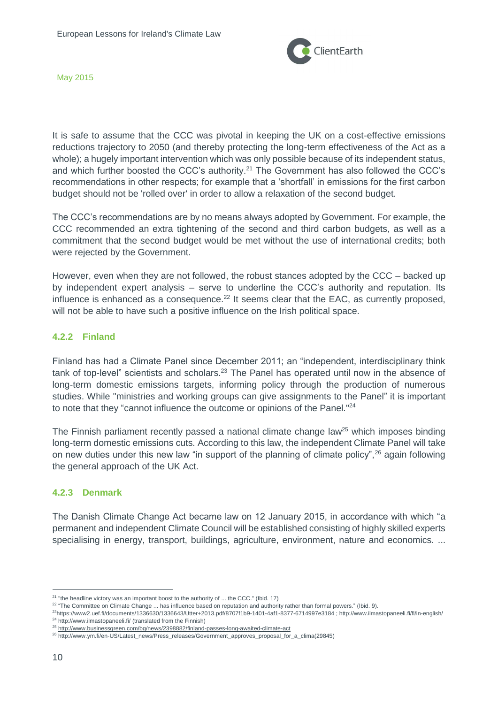

It is safe to assume that the CCC was pivotal in keeping the UK on a cost-effective emissions reductions trajectory to 2050 (and thereby protecting the long-term effectiveness of the Act as a whole); a hugely important intervention which was only possible because of its independent status, and which further boosted the CCC's authority.<sup>21</sup> The Government has also followed the CCC's recommendations in other respects; for example that a 'shortfall' in emissions for the first carbon budget should not be 'rolled over' in order to allow a relaxation of the second budget.

The CCC's recommendations are by no means always adopted by Government. For example, the CCC recommended an extra tightening of the second and third carbon budgets, as well as a commitment that the second budget would be met without the use of international credits; both were rejected by the Government.

However, even when they are not followed, the robust stances adopted by the CCC – backed up by independent expert analysis – serve to underline the CCC's authority and reputation. Its influence is enhanced as a consequence.<sup>22</sup> It seems clear that the EAC, as currently proposed. will not be able to have such a positive influence on the Irish political space.

#### <span id="page-9-0"></span>**4.2.2 Finland**

Finland has had a Climate Panel since December 2011; an "independent, interdisciplinary think tank of top-level" scientists and scholars.<sup>23</sup> The Panel has operated until now in the absence of long-term domestic emissions targets, informing policy through the production of numerous studies. While "ministries and working groups can give assignments to the Panel" it is important to note that they "cannot influence the outcome or opinions of the Panel."<sup>24</sup>

The Finnish parliament recently passed a national climate change law<sup>25</sup> which imposes binding long-term domestic emissions cuts. According to this law, the independent Climate Panel will take on new duties under this new law "in support of the planning of climate policy",  $26$  again following the general approach of the UK Act.

#### <span id="page-9-1"></span>**4.2.3 Denmark**

The Danish Climate Change Act became law on 12 January 2015, in accordance with which "a permanent and independent Climate Council will be established consisting of highly skilled experts specialising in energy, transport, buildings, agriculture, environment, nature and economics. ...

 $21$  "the headline victory was an important boost to the authority of ... the CCC." (Ibid. 17)

<sup>&</sup>lt;sup>22</sup> "The Committee on Climate Change ... has influence based on reputation and authority rather than formal powers." (Ibid. 9).

<sup>23</sup><https://www2.uef.fi/documents/1336630/1336643/Utter+2013.pdf/8707f1b9-1401-4af1-8377-6714997e3184> [; http://www.ilmastopaneeli.fi/fi/in-english/](http://www.ilmastopaneeli.fi/fi/in-english/)

<sup>&</sup>lt;sup>24</sup> <http://www.ilmastopaneeli.fi/> (translated from the Finnish)

<sup>25</sup> <http://www.businessgreen.com/bg/news/2398882/finland-passes-long-awaited-climate-act>

<sup>&</sup>lt;sup>26</sup> [http://www.ym.fi/en-US/Latest\\_news/Press\\_releases/Government\\_approves\\_proposal\\_for\\_a\\_clima\(29845\)](http://www.ym.fi/en-US/Latest_news/Press_releases/Government_approves_proposal_for_a_clima(29845))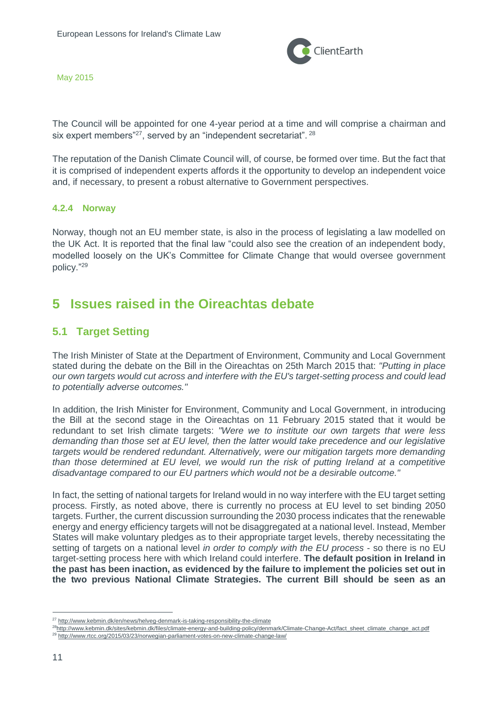

The Council will be appointed for one 4-year period at a time and will comprise a chairman and six expert members"<sup>27</sup>, served by an "independent secretariat". <sup>28</sup>

The reputation of the Danish Climate Council will, of course, be formed over time. But the fact that it is comprised of independent experts affords it the opportunity to develop an independent voice and, if necessary, to present a robust alternative to Government perspectives.

#### <span id="page-10-0"></span>**4.2.4 Norway**

Norway, though not an EU member state, is also in the process of legislating a law modelled on the UK Act. It is reported that the final law "could also see the creation of an independent body, modelled loosely on the UK's Committee for Climate Change that would oversee government policy." 29

## <span id="page-10-1"></span>**5 Issues raised in the Oireachtas debate**

## <span id="page-10-2"></span>**5.1 Target Setting**

The Irish Minister of State at the Department of Environment, Community and Local Government stated during the debate on the Bill in the Oireachtas on 25th March 2015 that: *"Putting in place our own targets would cut across and interfere with the EU's target-setting process and could lead to potentially adverse outcomes."*

In addition, the Irish Minister for Environment, Community and Local Government, in introducing the Bill at the second stage in the Oireachtas on 11 February 2015 stated that it would be redundant to set Irish climate targets: *"Were we to institute our own targets that were less demanding than those set at EU level, then the latter would take precedence and our legislative targets would be rendered redundant. Alternatively, were our mitigation targets more demanding than those determined at EU level, we would run the risk of putting Ireland at a competitive disadvantage compared to our EU partners which would not be a desirable outcome."*

In fact, the setting of national targets for Ireland would in no way interfere with the EU target setting process. Firstly, as noted above, there is currently no process at EU level to set binding 2050 targets. Further, the current discussion surrounding the 2030 process indicates that the renewable energy and energy efficiency targets will not be disaggregated at a national level. Instead, Member States will make voluntary pledges as to their appropriate target levels, thereby necessitating the setting of targets on a national level *in order to comply with the EU process* - so there is no EU target-setting process here with which Ireland could interfere. **The default position in Ireland in the past has been inaction, as evidenced by the failure to implement the policies set out in the two previous National Climate Strategies. The current Bill should be seen as an** 

<sup>27</sup> <http://www.kebmin.dk/en/news/helveg-denmark-is-taking-responsibility-the-climate>

<sup>&</sup>lt;sup>28</sup>[http://www.kebmin.dk/sites/kebmin.dk/files/climate-energy-and-building-policy/denmark/Climate-Change-Act/fact\\_sheet\\_climate\\_change\\_act.pdf](http://www.kebmin.dk/sites/kebmin.dk/files/climate-energy-and-building-policy/denmark/Climate-Change-Act/fact_sheet_climate_change_act.pdf) <sup>29</sup> <http://www.rtcc.org/2015/03/23/norwegian-parliament-votes-on-new-climate-change-law/>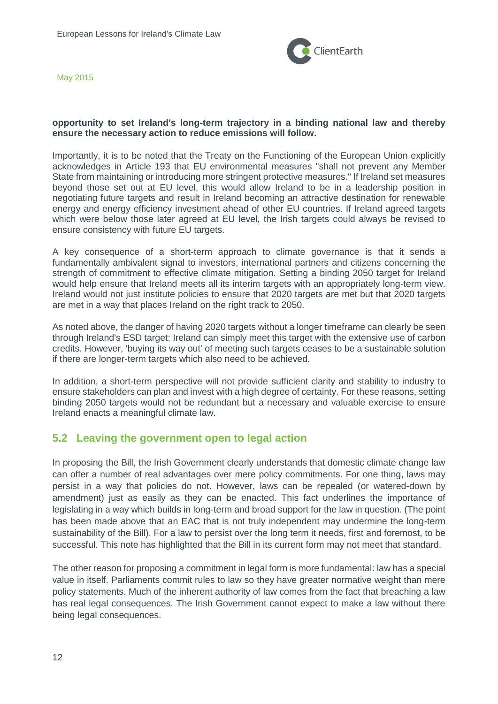

#### **opportunity to set Ireland's long-term trajectory in a binding national law and thereby ensure the necessary action to reduce emissions will follow.**

Importantly, it is to be noted that the Treaty on the Functioning of the European Union explicitly acknowledges in Article 193 that EU environmental measures "shall not prevent any Member State from maintaining or introducing more stringent protective measures." If Ireland set measures beyond those set out at EU level, this would allow Ireland to be in a leadership position in negotiating future targets and result in Ireland becoming an attractive destination for renewable energy and energy efficiency investment ahead of other EU countries. If Ireland agreed targets which were below those later agreed at EU level, the Irish targets could always be revised to ensure consistency with future EU targets.

A key consequence of a short-term approach to climate governance is that it sends a fundamentally ambivalent signal to investors, international partners and citizens concerning the strength of commitment to effective climate mitigation. Setting a binding 2050 target for Ireland would help ensure that Ireland meets all its interim targets with an appropriately long-term view. Ireland would not just institute policies to ensure that 2020 targets are met but that 2020 targets are met in a way that places Ireland on the right track to 2050.

As noted above, the danger of having 2020 targets without a longer timeframe can clearly be seen through Ireland's ESD target: Ireland can simply meet this target with the extensive use of carbon credits. However, 'buying its way out' of meeting such targets ceases to be a sustainable solution if there are longer-term targets which also need to be achieved.

In addition, a short-term perspective will not provide sufficient clarity and stability to industry to ensure stakeholders can plan and invest with a high degree of certainty. For these reasons, setting binding 2050 targets would not be redundant but a necessary and valuable exercise to ensure Ireland enacts a meaningful climate law.

## <span id="page-11-0"></span>**5.2 Leaving the government open to legal action**

In proposing the Bill, the Irish Government clearly understands that domestic climate change law can offer a number of real advantages over mere policy commitments. For one thing, laws may persist in a way that policies do not. However, laws can be repealed (or watered-down by amendment) just as easily as they can be enacted. This fact underlines the importance of legislating in a way which builds in long-term and broad support for the law in question. (The point has been made above that an EAC that is not truly independent may undermine the long-term sustainability of the Bill). For a law to persist over the long term it needs, first and foremost, to be successful. This note has highlighted that the Bill in its current form may not meet that standard.

The other reason for proposing a commitment in legal form is more fundamental: law has a special value in itself. Parliaments commit rules to law so they have greater normative weight than mere policy statements. Much of the inherent authority of law comes from the fact that breaching a law has real legal consequences. The Irish Government cannot expect to make a law without there being legal consequences.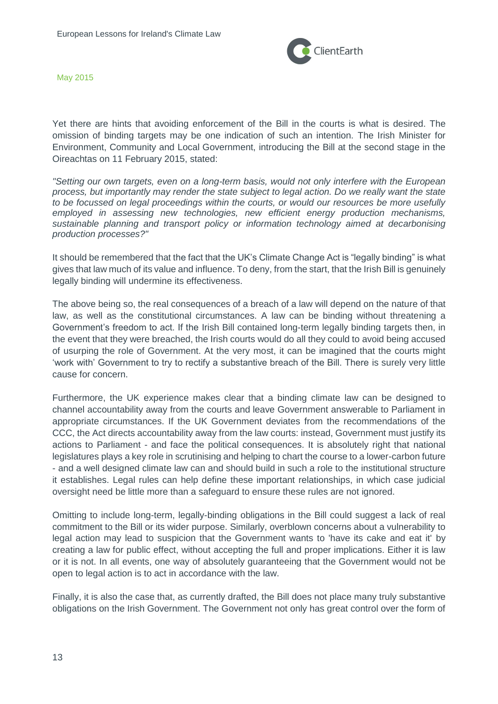

Yet there are hints that avoiding enforcement of the Bill in the courts is what is desired. The omission of binding targets may be one indication of such an intention. The Irish Minister for Environment, Community and Local Government, introducing the Bill at the second stage in the Oireachtas on 11 February 2015, stated:

*"Setting our own targets, even on a long-term basis, would not only interfere with the European process, but importantly may render the state subject to legal action. Do we really want the state to be focussed on legal proceedings within the courts, or would our resources be more usefully employed in assessing new technologies, new efficient energy production mechanisms, sustainable planning and transport policy or information technology aimed at decarbonising production processes?"*

It should be remembered that the fact that the UK's Climate Change Act is "legally binding" is what gives that law much of its value and influence. To deny, from the start, that the Irish Bill is genuinely legally binding will undermine its effectiveness.

The above being so, the real consequences of a breach of a law will depend on the nature of that law, as well as the constitutional circumstances. A law can be binding without threatening a Government's freedom to act. If the Irish Bill contained long-term legally binding targets then, in the event that they were breached, the Irish courts would do all they could to avoid being accused of usurping the role of Government. At the very most, it can be imagined that the courts might 'work with' Government to try to rectify a substantive breach of the Bill. There is surely very little cause for concern.

Furthermore, the UK experience makes clear that a binding climate law can be designed to channel accountability away from the courts and leave Government answerable to Parliament in appropriate circumstances. If the UK Government deviates from the recommendations of the CCC, the Act directs accountability away from the law courts: instead, Government must justify its actions to Parliament - and face the political consequences. It is absolutely right that national legislatures plays a key role in scrutinising and helping to chart the course to a lower-carbon future - and a well designed climate law can and should build in such a role to the institutional structure it establishes. Legal rules can help define these important relationships, in which case judicial oversight need be little more than a safeguard to ensure these rules are not ignored.

Omitting to include long-term, legally-binding obligations in the Bill could suggest a lack of real commitment to the Bill or its wider purpose. Similarly, overblown concerns about a vulnerability to legal action may lead to suspicion that the Government wants to 'have its cake and eat it' by creating a law for public effect, without accepting the full and proper implications. Either it is law or it is not. In all events, one way of absolutely guaranteeing that the Government would not be open to legal action is to act in accordance with the law.

Finally, it is also the case that, as currently drafted, the Bill does not place many truly substantive obligations on the Irish Government. The Government not only has great control over the form of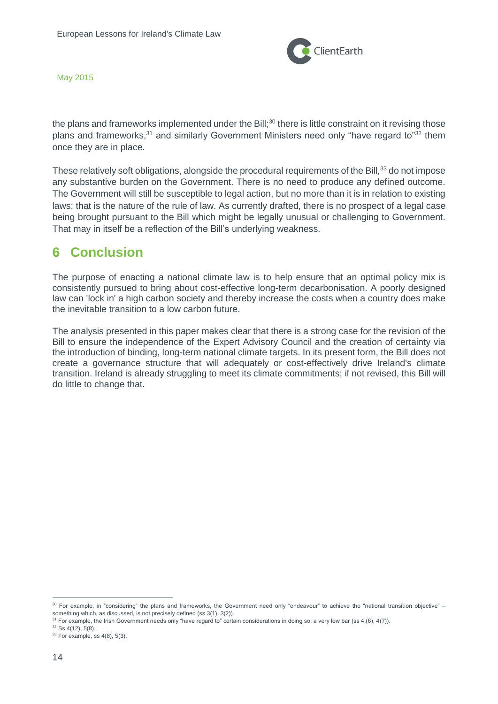

the plans and frameworks implemented under the Bill;<sup>30</sup> there is little constraint on it revising those plans and frameworks,<sup>31</sup> and similarly Government Ministers need only "have regard to"<sup>32</sup> them once they are in place.

These relatively soft obligations, alongside the procedural requirements of the Bill,<sup>33</sup> do not impose any substantive burden on the Government. There is no need to produce any defined outcome. The Government will still be susceptible to legal action, but no more than it is in relation to existing laws; that is the nature of the rule of law. As currently drafted, there is no prospect of a legal case being brought pursuant to the Bill which might be legally unusual or challenging to Government. That may in itself be a reflection of the Bill's underlying weakness.

# <span id="page-13-0"></span>**6 Conclusion**

The purpose of enacting a national climate law is to help ensure that an optimal policy mix is consistently pursued to bring about cost-effective long-term decarbonisation. A poorly designed law can 'lock in' a high carbon society and thereby increase the costs when a country does make the inevitable transition to a low carbon future.

The analysis presented in this paper makes clear that there is a strong case for the revision of the Bill to ensure the independence of the Expert Advisory Council and the creation of certainty via the introduction of binding, long-term national climate targets. In its present form, the Bill does not create a governance structure that will adequately or cost-effectively drive Ireland's climate transition. Ireland is already struggling to meet its climate commitments; if not revised, this Bill will do little to change that.

<sup>30</sup> For example, in "considering" the plans and frameworks, the Government need only "endeavour" to achieve the "national transition objective" – something which, as discussed, is not precisely defined (ss 3(1), 3(2)).

<sup>&</sup>lt;sup>31</sup> For example, the Irish Government needs only "have regard to" certain considerations in doing so: a very low bar (ss 4,(6), 4(7)).

<sup>32</sup> Ss 4(12), 5(8).

 $33$  For example, ss  $4(8)$ ,  $5(3)$ .